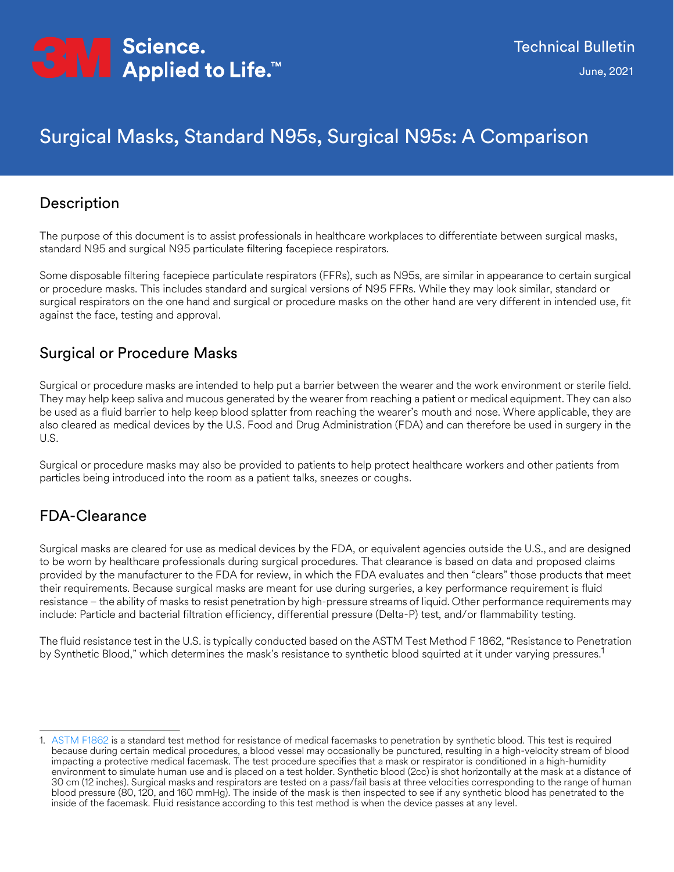

# Surgical Masks, Standard N95s, Surgical N95s: A Comparison

#### Description

The purpose of this document is to assist professionals in healthcare workplaces to differentiate between surgical masks, standard N95 and surgical N95 particulate filtering facepiece respirators.

Some disposable filtering facepiece particulate respirators (FFRs), such as N95s, are similar in appearance to certain surgical or procedure masks. This includes standard and surgical versions of N95 FFRs. While they may look similar, standard or surgical respirators on the one hand and surgical or procedure masks on the other hand are very different in intended use, fit against the face, testing and approval.

#### Surgical or Procedure Masks

Surgical or procedure masks are intended to help put a barrier between the wearer and the work environment or sterile field. They may help keep saliva and mucous generated by the wearer from reaching a patient or medical equipment. They can also be used as a fluid barrier to help keep blood splatter from reaching the wearer's mouth and nose. Where applicable, they are also cleared as medical devices by the U.S. Food and Drug Administration (FDA) and can therefore be used in surgery in the U.S.

Surgical or procedure masks may also be provided to patients to help protect healthcare workers and other patients from particles being introduced into the room as a patient talks, sneezes or coughs.

### FDA-Clearance

Surgical masks are cleared for use as medical devices by the FDA, or equivalent agencies outside the U.S., and are designed to be worn by healthcare professionals during surgical procedures. That clearance is based on data and proposed claims provided by the manufacturer to the FDA for review, in which the FDA evaluates and then "clears" those products that meet their requirements. Because surgical masks are meant for use during surgeries, a key performance requirement is fluid resistance – the ability of masks to resist penetration by high-pressure streams of liquid. Other performance requirements may include: Particle and bacterial filtration efficiency, differential pressure (Delta-P) test, and/or flammability testing.

The fluid resistance test in the U.S. is typically conducted based on the ASTM Test Method F 1862, "Resistance to Penetration by Synthetic Blood," which determines the mask's resistance to synthetic blood squirted at it under varying pressures.<sup>1</sup>

<sup>1.</sup> [ASTM F1862](https://www.astm.org/Standards/F1862.htm) is a standard test method for resistance of medical facemasks to penetration by synthetic blood. This test is required because during certain medical procedures, a blood vessel may occasionally be punctured, resulting in a high-velocity stream of blood impacting a protective medical facemask. The test procedure specifies that a mask or respirator is conditioned in a high-humidity environment to simulate human use and is placed on a test holder. Synthetic blood (2cc) is shot horizontally at the mask at a distance of 30 cm (12 inches). Surgical masks and respirators are tested on a pass/fail basis at three velocities corresponding to the range of human blood pressure (80, 120, and 160 mmHg). The inside of the mask is then inspected to see if any synthetic blood has penetrated to the inside of the facemask. Fluid resistance according to this test method is when the device passes at any level.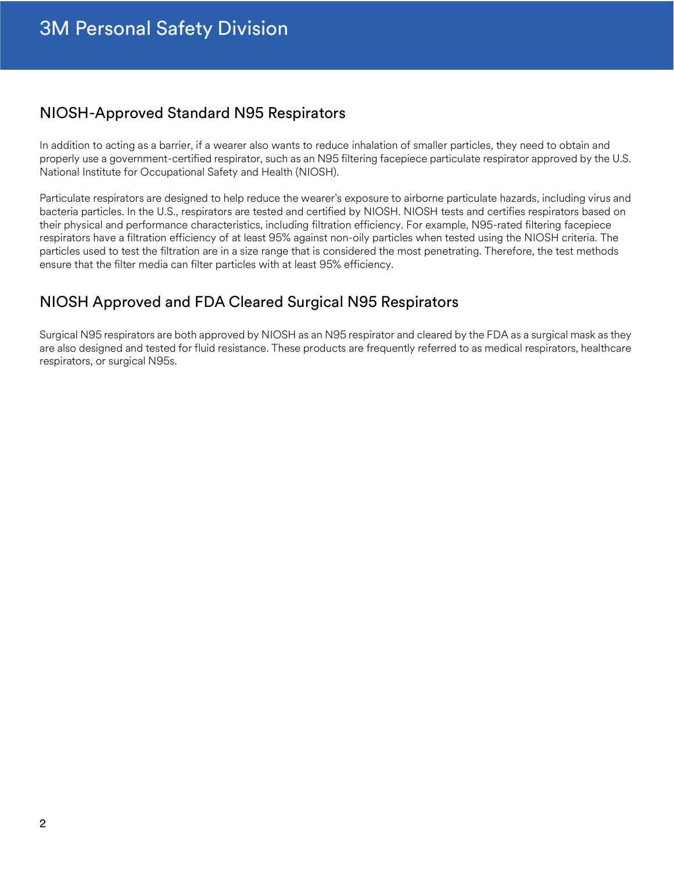### NIOSH-Approved Standard N95 Respirators

In addition to acting as a barrier, if a wearer also wants to reduce inhalation of smaller particles, they need to obtain and properly use a government-certified respirator, such as an N95 filtering facepiece particulate respirator approved by the U.S. National Institute for Occupational Safety and Health (NIOSH).

Particulate respirators are designed to help reduce the wearer's exposure to airborne particulate hazards, including virus and bacteria particles. In the U.S., respirators are tested and certified by NIOSH. NIOSH tests and certifies respirators based on their physical and performance characteristics, including filtration efficiency. For example, N95-rated filtering facepiece respirators have a filtration efficiency of at least 95% against non-oily particles when tested using the NIOSH criteria. The particles used to test the filtration are in a size range that is considered the most penetrating. Therefore, the test methods ensure that the filter media can filter particles with at least 95% efficiency.

### NIOSH Approved and FDA Cleared Surgical N95 Respirators

Surgical N95 respirators are both approved by NIOSH as an N95 respirator and cleared by the FDA as a surgical mask as they are also designed and tested for fluid resistance. These products are frequently referred to as medical respirators, healthcare respirators, or surgical N95s.